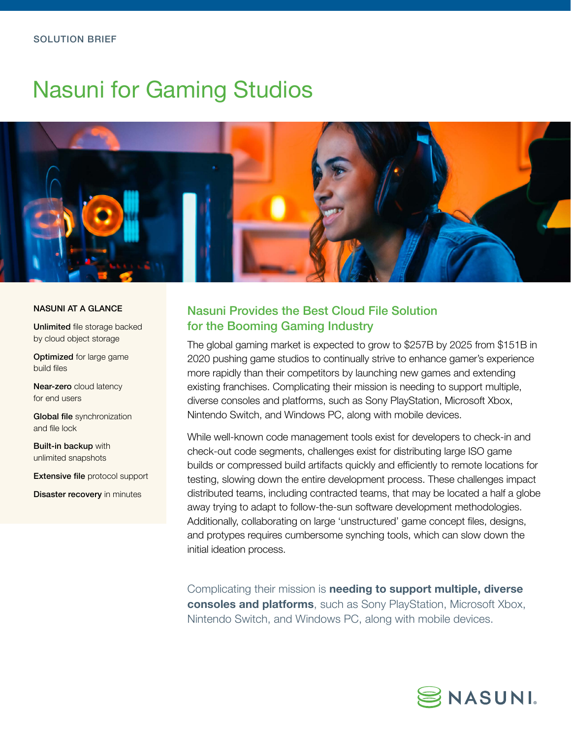# Nasuni for Gaming Studios



#### NASUNI AT A GLANCE

Unlimited file storage backed by cloud object storage

Optimized for large game build files

Near-zero cloud latency for end users

Global file synchronization and file lock

Built-in backup with unlimited snapshots

Extensive file protocol support

**Disaster recovery** in minutes

# Nasuni Provides the Best Cloud File Solution for the Booming Gaming Industry

The global gaming market is expected to grow to \$257B by 2025 from \$151B in 2020 pushing game studios to continually strive to enhance gamer's experience more rapidly than their competitors by launching new games and extending existing franchises. Complicating their mission is needing to support multiple, diverse consoles and platforms, such as Sony PlayStation, Microsoft Xbox, Nintendo Switch, and Windows PC, along with mobile devices.

While well-known code management tools exist for developers to check-in and check-out code segments, challenges exist for distributing large ISO game builds or compressed build artifacts quickly and efficiently to remote locations for testing, slowing down the entire development process. These challenges impact distributed teams, including contracted teams, that may be located a half a globe away trying to adapt to follow-the-sun software development methodologies. Additionally, collaborating on large 'unstructured' game concept files, designs, and protypes requires cumbersome synching tools, which can slow down the initial ideation process.

Complicating their mission is **needing to support multiple, diverse consoles and platforms**, such as Sony PlayStation, Microsoft Xbox, Nintendo Switch, and Windows PC, along with mobile devices.

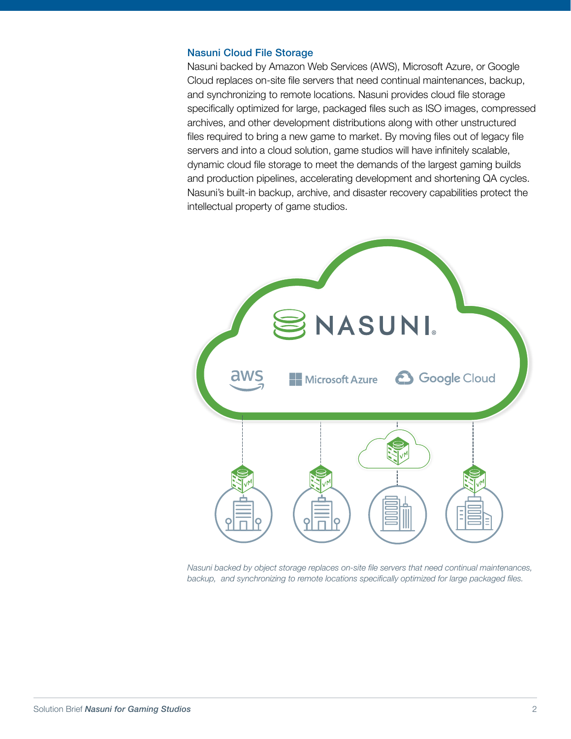#### Nasuni Cloud File Storage

Nasuni backed by Amazon Web Services (AWS), Microsoft Azure, or Google Cloud replaces on-site file servers that need continual maintenances, backup, and synchronizing to remote locations. Nasuni provides cloud file storage specifically optimized for large, packaged files such as ISO images, compressed archives, and other development distributions along with other unstructured files required to bring a new game to market. By moving files out of legacy file servers and into a cloud solution, game studios will have infinitely scalable, dynamic cloud file storage to meet the demands of the largest gaming builds and production pipelines, accelerating development and shortening QA cycles. Nasuni's built-in backup, archive, and disaster recovery capabilities protect the intellectual property of game studios.



*Nasuni backed by object storage replaces on-site file servers that need continual maintenances, backup, and synchronizing to remote locations specifically optimized for large packaged files.*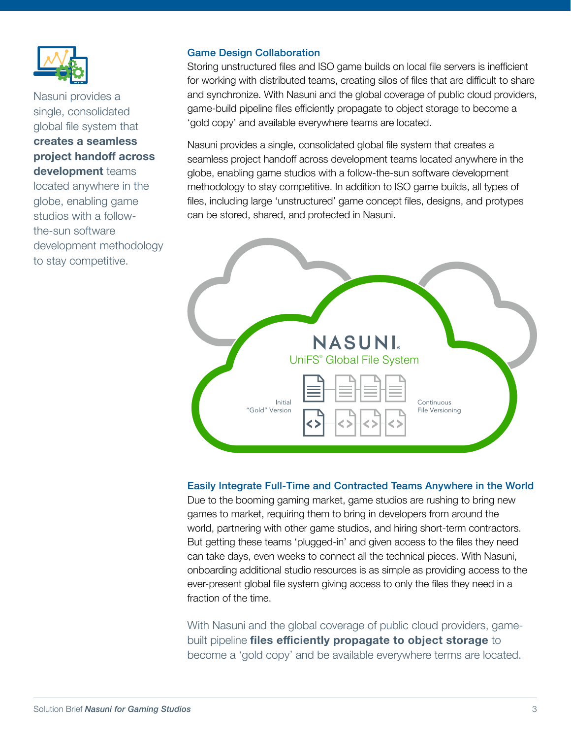

Nasuni provides a single, consolidated global file system that **creates a seamless project handoff across development** teams located anywhere in the globe, enabling game studios with a followthe-sun software

development methodology to stay competitive.

#### Game Design Collaboration

Storing unstructured files and ISO game builds on local file servers is inefficient for working with distributed teams, creating silos of files that are difficult to share and synchronize. With Nasuni and the global coverage of public cloud providers, game-build pipeline files efficiently propagate to object storage to become a 'gold copy' and available everywhere teams are located.

Nasuni provides a single, consolidated global file system that creates a seamless project handoff across development teams located anywhere in the globe, enabling game studios with a follow-the-sun software development methodology to stay competitive. In addition to ISO game builds, all types of files, including large 'unstructured' game concept files, designs, and protypes can be stored, shared, and protected in Nasuni.



## Easily Integrate Full-Time and Contracted Teams Anywhere in the World

Due to the booming gaming market, game studios are rushing to bring new games to market, requiring them to bring in developers from around the world, partnering with other game studios, and hiring short-term contractors. But getting these teams 'plugged-in' and given access to the files they need can take days, even weeks to connect all the technical pieces. With Nasuni, onboarding additional studio resources is as simple as providing access to the ever-present global file system giving access to only the files they need in a fraction of the time.

With Nasuni and the global coverage of public cloud providers, gamebuilt pipeline **files efficiently propagate to object storage** to become a 'gold copy' and be available everywhere terms are located.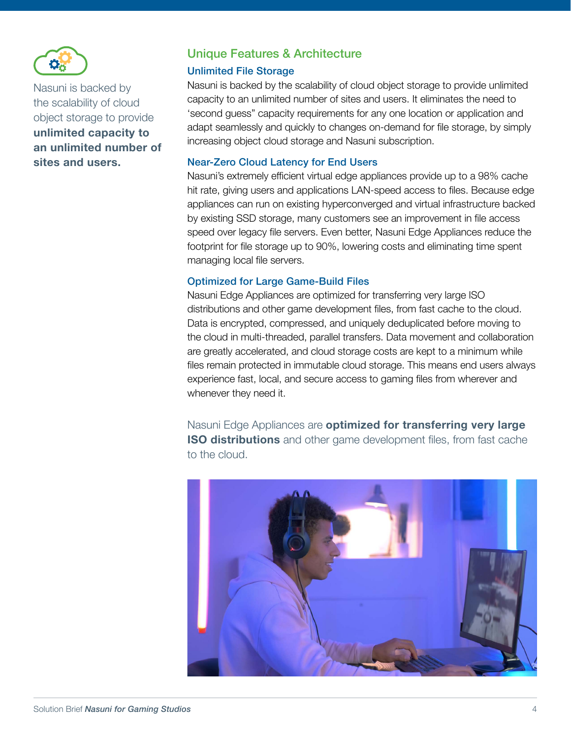

Nasuni is backed by the scalability of cloud object storage to provide **unlimited capacity to an unlimited number of sites and users.**

# Unique Features & Architecture

#### Unlimited File Storage

Nasuni is backed by the scalability of cloud object storage to provide unlimited capacity to an unlimited number of sites and users. It eliminates the need to 'second guess" capacity requirements for any one location or application and adapt seamlessly and quickly to changes on-demand for file storage, by simply increasing object cloud storage and Nasuni subscription.

#### Near-Zero Cloud Latency for End Users

Nasuni's extremely efficient virtual edge appliances provide up to a 98% cache hit rate, giving users and applications LAN-speed access to files. Because edge appliances can run on existing hyperconverged and virtual infrastructure backed by existing SSD storage, many customers see an improvement in file access speed over legacy file servers. Even better, Nasuni Edge Appliances reduce the footprint for file storage up to 90%, lowering costs and eliminating time spent managing local file servers.

#### Optimized for Large Game-Build Files

Nasuni Edge Appliances are optimized for transferring very large ISO distributions and other game development files, from fast cache to the cloud. Data is encrypted, compressed, and uniquely deduplicated before moving to the cloud in multi-threaded, parallel transfers. Data movement and collaboration are greatly accelerated, and cloud storage costs are kept to a minimum while files remain protected in immutable cloud storage. This means end users always experience fast, local, and secure access to gaming files from wherever and whenever they need it.

Nasuni Edge Appliances are **optimized for transferring very large ISO distributions** and other game development files, from fast cache to the cloud.